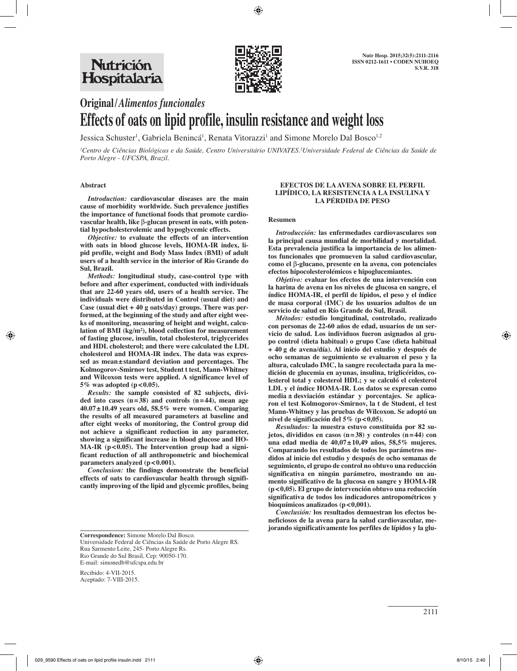

# **Original/***Alimentos funcionales* **Effects of oats on lipid profile, insulin resistance and weight loss**

Jessica Schuster<sup>1</sup>, Gabriela Benincá<sup>1</sup>, Renata Vitorazzi<sup>1</sup> and Simone Morelo Dal Bosco<sup>1,2</sup>

*1 Centro de Ciências Biológicas e da Saúde, Centro Universitário UNIVATES.2 Universidade Federal de Ciências da Saúde de Porto Alegre - UFCSPA, Brazil.*

#### **Abstract**

*Introduction:* **cardiovascular diseases are the main cause of morbidity worldwide. Such prevalence justifies the importance of functional foods that promote cardiovascular health, like** β**-glucan present in oats, with potential hypocholesterolemic and hypoglycemic effects.**

*Objective:* **to evaluate the effects of an intervention with oats in blood glucose levels, HOMA-IR index, lipid profile, weight and Body Mass Index (BMI) of adult users of a health service in the interior of Rio Grande do Sul, Brazil.**

*Methods:* **longitudinal study, case-control type with before and after experiment, conducted with individuals that are 22-60 years old, users of a health service. The individuals were distributed in Control (usual diet) and Case (usual diet + 40 g oats/day) groups. There was performed, at the beginning of the study and after eight weeks of monitoring, measuring of height and weight, calculation of BMI (kg/m²), blood collection for measurement of fasting glucose, insulin, total cholesterol, triglycerides and HDL cholesterol; and there were calculated the LDL cholesterol and HOMA-IR index. The data was expressed as mean±standard deviation and percentages. The Kolmogorov-Smirnov test, Student t test, Mann-Whitney and Wilcoxon tests were applied. A significance level of 5% was adopted (p<0.05).**

*Results:* **the sample consisted of 82 subjects, divided into cases (n=38) and controls (n=44), mean age 40.07±10.49 years old, 58.5% were women. Comparing the results of all measured parameters at baseline and after eight weeks of monitoring, the Control group did not achieve a significant reduction in any parameter, showing a significant increase in blood glucose and HO-**MA-IR (p<0.05). The Intervention group had a signi**ficant reduction of all anthropometric and biochemical parameters analyzed (p<0.001).**

*Conclusion:* **the findings demonstrate the beneficial effects of oats to cardiovascular health through significantly improving of the lipid and glycemic profiles, being** 

#### **EFECTOS DE LA AVENA SOBRE EL PERFIL LIPÍDICO, LA RESISTENCIA A LA INSULINA Y LA PÉRDIDA DE PESO**

#### **Resumen**

*Introducción:* **las enfermedades cardiovasculares son la principal causa mundial de morbilidad y mortalidad. Esta prevalencia justifica la importancia de los alimentos funcionales que promueven la salud cardiovascular, como el** β**-glucano, presente en la avena, con potenciales efectos hipocolesterolémicos e hipoglucemiantes.**

*Objetivo:* **evaluar los efectos de una intervención con la harina de avena en los niveles de glucosa en sangre, el índice HOMA-IR, el perfil de lípidos, el peso y el índice de masa corporal (IMC) de los usuarios adultos de un servicio de salud en Río Grande do Sul, Brasil.**

*Métodos:* **estudio longitudinal, controlado, realizado con personas de 22-60 años de edad, usuarios de un servicio de salud. Los individuos fueron asignados al grupo control (dieta habitual) o grupo Case (dieta habitual + 40 g de avena/día). Al inicio del estudio y después de ocho semanas de seguimiento se evaluaron el peso y la altura, calculado IMC, la sangre recolectada para la medición de glucemia en ayunas, insulina, triglicéridos, colesterol total y colesterol HDL; y se calculó el colesterol LDL y el índice HOMA-IR. Los datos se expresan como media ± desviación estándar y porcentajes. Se aplicaron el test Kolmogorov-Smirnov, la t de Student, el test Mann-Whitney y las pruebas de Wilcoxon. Se adoptó un nivel de significación del 5% (p<0,05).**

*Resultados:* **la muestra estuvo constituida por 82 sujetos, divididos en casos (n=38) y controles (n=44) con una edad media de 40,07±10,49 años, 58,5% mujeres. Comparando los resultados de todos los parámetros medidos al inicio del estudio y después de ocho semanas de seguimiento, el grupo de control no obtuvo una reducción significativa en ningún parámetro, mostrando un aumento significativo de la glucosa en sangre y HOMA-IR (p<0,05). El grupo de intervención obtuvo una reducción significativa de todos los indicadores antropométricos y bioquímicos analizados (p<0,001).** 

*Conclusión:* **los resultados demuestran los efectos beneficiosos de la avena para la salud cardiovascular, mejorando significativamente los perfiles de lípidos y la glu-**

**Correspondence:** Simone Morelo Dal Bosco. Universidade Federal de Ciências da Saúde de Porto Alegre RS. Rua Sarmento Leite, 245- Porto Alegre Rs. Rio Grande do Sul Brasil, Cep: 90050-170. E-mail: simonedb@ufcspa.edu.br

Recibido: 4-VII-2015. Aceptado: 7-VIII-2015.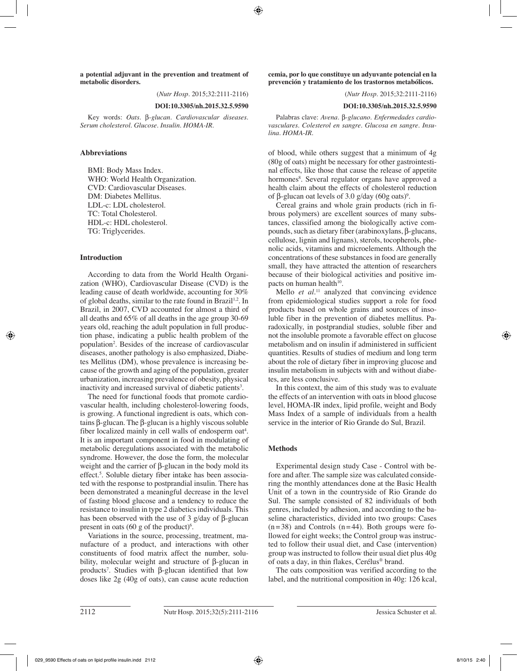**a potential adjuvant in the prevention and treatment of metabolic disorders.**

(*Nutr Hosp.* 2015;32:2111-2116)

#### **DOI:10.3305/nh.2015.32.5.9590**

Key words: *Oats.* β*-glucan. Cardiovascular diseases. Serum cholesterol. Glucose. Insulin. HOMA-IR.*

# **Abbreviations**

BMI: Body Mass Index. WHO: World Health Organization. CVD: Cardiovascular Diseases. DM: Diabetes Mellitus. LDL-c: LDL cholesterol. TC: Total Cholesterol. HDL-c: HDL cholesterol. TG: Triglycerides.

#### **Introduction**

According to data from the World Health Organization (WHO), Cardiovascular Disease (CVD) is the leading cause of death worldwide, accounting for 30% of global deaths, similar to the rate found in Brazil<sup>1,2</sup>. In Brazil, in 2007, CVD accounted for almost a third of all deaths and 65% of all deaths in the age group 30-69 years old, reaching the adult population in full production phase, indicating a public health problem of the population2 . Besides of the increase of cardiovascular diseases, another pathology is also emphasized, Diabetes Mellitus (DM), whose prevalence is increasing because of the growth and aging of the population, greater urbanization, increasing prevalence of obesity, physical inactivity and increased survival of diabetic patients<sup>3</sup>.

The need for functional foods that promote cardiovascular health, including cholesterol-lowering foods, is growing. A functional ingredient is oats, which contains β-glucan. The β-glucan is a highly viscous soluble fiber localized mainly in cell walls of endosperm oat<sup>4</sup>. It is an important component in food in modulating of metabolic deregulations associated with the metabolic syndrome. However, the dose the form, the molecular weight and the carrier of β-glucan in the body mold its effect. 5 . Soluble dietary fiber intake has been associated with the response to postprandial insulin. There has been demonstrated a meaningful decrease in the level of fasting blood glucose and a tendency to reduce the resistance to insulin in type 2 diabetics individuals. This has been observed with the use of 3 g/day of β-glucan present in oats  $(60 \text{ g of the product})^6$ .

Variations in the source, processing, treatment, manufacture of a product, and interactions with other constituents of food matrix affect the number, solubility, molecular weight and structure of β-glucan in products<sup>7</sup>. Studies with β-glucan identified that low doses like 2g (40g of oats), can cause acute reduction

**cemia, por lo que constituye un adyuvante potencial en la prevención y tratamiento de los trastornos metabólicos.**

(*Nutr Hosp.* 2015;32:2111-2116)

### **DOI:10.3305/nh.2015.32.5.9590**

Palabras clave: *Avena.* β*-glucano. Enfermedades cardiovasculares. Colesterol en sangre. Glucosa en sangre. Insulina. HOMA-IR.*

of blood, while others suggest that a minimum of 4g (80g of oats) might be necessary for other gastrointestinal effects, like those that cause the release of appetite hormones<sup>8</sup>. Several regulator organs have approved a health claim about the effects of cholesterol reduction of β-glucan oat levels of 3.0 g/day (60g oats)<sup>9</sup>.

Cereal grains and whole grain products (rich in fibrous polymers) are excellent sources of many substances, classified among the biologically active compounds, such as dietary fiber (arabinoxylans, β-glucans, cellulose, lignin and lignans), sterols, tocopherols, phenolic acids, vitamins and microelements. Although the concentrations of these substances in food are generally small, they have attracted the attention of researchers because of their biological activities and positive impacts on human health $^{10}$ .

Mello *et al.*<sup>11</sup> analyzed that convincing evidence from epidemiological studies support a role for food products based on whole grains and sources of insoluble fiber in the prevention of diabetes mellitus. Paradoxically, in postprandial studies, soluble fiber and not the insoluble promote a favorable effect on glucose metabolism and on insulin if administered in sufficient quantities. Results of studies of medium and long term about the role of dietary fiber in improving glucose and insulin metabolism in subjects with and without diabetes, are less conclusive.

In this context, the aim of this study was to evaluate the effects of an intervention with oats in blood glucose level, HOMA-IR index, lipid profile, weight and Body Mass Index of a sample of individuals from a health service in the interior of Rio Grande do Sul, Brazil.

#### **Methods**

Experimental design study Case - Control with before and after. The sample size was calculated considering the monthly attendances done at the Basic Health Unit of a town in the countryside of Rio Grande do Sul. The sample consisted of 82 individuals of both genres, included by adhesion, and according to the baseline characteristics, divided into two groups: Cases  $(n=38)$  and Controls  $(n=44)$ . Both groups were followed for eight weeks; the Control group was instructed to follow their usual diet, and Case (intervention) group was instructed to follow their usual diet plus 40g of oats a day, in thin flakes, Cerélus® brand.

The oats composition was verified according to the label, and the nutritional composition in 40g: 126 kcal,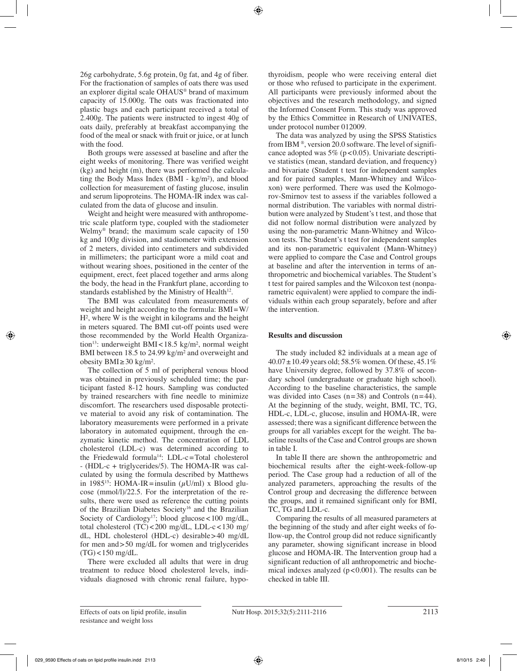26g carbohydrate, 5.6g protein, 0g fat, and 4g of fiber. For the fractionation of samples of oats there was used an explorer digital scale OHAUS® brand of maximum capacity of 15.000g. The oats was fractionated into plastic bags and each participant received a total of 2.400g. The patients were instructed to ingest 40g of oats daily, preferably at breakfast accompanying the food of the meal or snack with fruit or juice, or at lunch with the food.

Both groups were assessed at baseline and after the eight weeks of monitoring. There was verified weight (kg) and height (m), there was performed the calculating the Body Mass Index (BMI - kg/m²), and blood collection for measurement of fasting glucose, insulin and serum lipoproteins. The HOMA-IR index was calculated from the data of glucose and insulin.

Weight and height were measured with anthropometric scale platform type, coupled with the stadiometer Welmy® brand; the maximum scale capacity of 150 kg and 100g division, and stadiometer with extension of 2 meters, divided into centimeters and subdivided in millimeters; the participant wore a mild coat and without wearing shoes, positioned in the center of the equipment, erect, feet placed together and arms along the body, the head in the Frankfurt plane, according to standards established by the Ministry of Health $12$ .

The BMI was calculated from measurements of weight and height according to the formula: BMI=W/  $H<sup>2</sup>$ , where W is the weight in kilograms and the height in meters squared. The BMI cut-off points used were those recommended by the World Health Organization<sup>13</sup>: underweight BMI<18.5 kg/m<sup>2</sup>, normal weight BMI between 18.5 to 24.99 kg/m² and overweight and obesity BMI≥30 kg/m².

The collection of 5 ml of peripheral venous blood was obtained in previously scheduled time; the participant fasted 8-12 hours. Sampling was conducted by trained researchers with fine needle to minimize discomfort. The researchers used disposable protective material to avoid any risk of contamination. The laboratory measurements were performed in a private laboratory in automated equipment, through the enzymatic kinetic method. The concentration of LDL cholesterol (LDL-c) was determined according to the Friedewald formula<sup>14</sup>: LDL-c=Total cholesterol - (HDL-c + triglycerides/5). The HOMA-IR was calculated by using the formula described by Matthews in 1985<sup>15</sup>: HOMA-IR=insulin ( $\mu$ U/ml) x Blood glucose (mmol/l)/22.5. For the interpretation of the results, there were used as reference the cutting points of the Brazilian Diabetes Society<sup>16</sup> and the Brazilian Society of Cardiology<sup>17</sup>; blood glucose <100 mg/dL, total cholesterol (TC)<200 mg/dL, LDL-c<130 mg/ dL, HDL cholesterol (HDL-c) desirable>40 mg/dL for men and>50 mg/dL for women and triglycerides  $(TG)$  < 150 mg/dL.

There were excluded all adults that were in drug treatment to reduce blood cholesterol levels, individuals diagnosed with chronic renal failure, hypothyroidism, people who were receiving enteral diet or those who refused to participate in the experiment. All participants were previously informed about the objectives and the research methodology, and signed the Informed Consent Form. This study was approved by the Ethics Committee in Research of UNIVATES, under protocol number 012009.

The data was analyzed by using the SPSS Statistics from IBM ®, version 20.0 software. The level of significance adopted was  $5\%$  (p < 0.05). Univariate descriptive statistics (mean, standard deviation, and frequency) and bivariate (Student t test for independent samples and for paired samples, Mann-Whitney and Wilcoxon) were performed. There was used the Kolmogorov-Smirnov test to assess if the variables followed a normal distribution. The variables with normal distribution were analyzed by Student's t test, and those that did not follow normal distribution were analyzed by using the non-parametric Mann-Whitney and Wilcoxon tests. The Student's t test for independent samples and its non-parametric equivalent (Mann-Whitney) were applied to compare the Case and Control groups at baseline and after the intervention in terms of anthropometric and biochemical variables. The Student's t test for paired samples and the Wilcoxon test (nonparametric equivalent) were applied to compare the individuals within each group separately, before and after the intervention.

# **Results and discussion**

The study included 82 individuals at a mean age of 40.07±10.49 years old; 58.5% women. Of these, 45.1% have University degree, followed by 37.8% of secondary school (undergraduate or graduate high school). According to the baseline characteristics, the sample was divided into Cases  $(n=38)$  and Controls  $(n=44)$ . At the beginning of the study, weight, BMI, TC, TG, HDL-c, LDL-c, glucose, insulin and HOMA-IR, were assessed; there was a significant difference between the groups for all variables except for the weight. The baseline results of the Case and Control groups are shown in table I.

In table II there are shown the anthropometric and biochemical results after the eight-week-follow-up period. The Case group had a reduction of all of the analyzed parameters, approaching the results of the Control group and decreasing the difference between the groups, and it remained significant only for BMI, TC, TG and LDL-c.

Comparing the results of all measured parameters at the beginning of the study and after eight weeks of follow-up, the Control group did not reduce significantly any parameter, showing significant increase in blood glucose and HOMA-IR. The Intervention group had a significant reduction of all anthropometric and biochemical indexes analyzed  $(p<0.001)$ . The results can be checked in table III.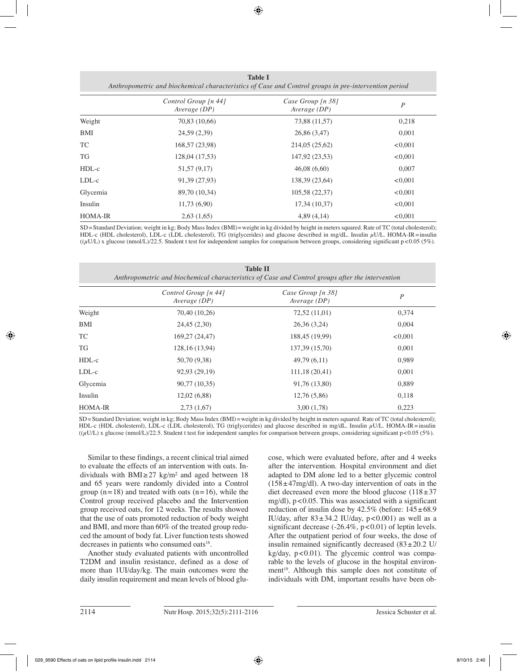|                | Control Group [n 44] | Case Group [n 38] | $\boldsymbol{P}$ |
|----------------|----------------------|-------------------|------------------|
|                | Average (DP)         | Average (DP)      |                  |
| Weight         | 70,83 (10,66)        | 73,88 (11,57)     | 0,218            |
| BMI            | 24,59 (2,39)         | 26,86 (3,47)      | 0,001            |
| TC             | 168,57 (23,98)       | 214,05 (25,62)    | < 0.001          |
| TG             | 128,04 (17,53)       | 147,92 (23,53)    | < 0.001          |
| $HDL-c$        | 51,57 (9,17)         | 46,08(6,60)       | 0,007            |
| $LDL-c$        | 91,39 (27,93)        | 138,39 (23,64)    | < 0.001          |
| Glycemia       | 89,70 (10,34)        | 105,58 (22,37)    | < 0.001          |
| Insulin        | 11,73(6,90)          | 17,34 (10,37)     | < 0.001          |
| <b>HOMA-IR</b> | 2,63(1,65)           | 4,89(4,14)        | < 0.001          |

**Table I** *Anthropometric and biochemical characteristics of Case and Control groups in pre-intervention period*

SD=Standard Deviation; weight in kg; Body Mass Index (BMI)=weight in kg divided by height in meters squared. Rate of TC (total cholesterol); HDL-c (HDL cholesterol), LDL-c (LDL cholesterol), TG (triglycerides) and glucose described in mg/dL. Insulin μU/L. HOMA-IR=insulin ((µU/L) x glucose (nmol/L)/22.5. Student t test for independent samples for comparison between groups, considering significant p<0.05 (5%).

| <b>Table II</b><br>Anthropometric and biochemical characteristics of Case and Control groups after the intervention |                                        |                                   |                  |  |  |
|---------------------------------------------------------------------------------------------------------------------|----------------------------------------|-----------------------------------|------------------|--|--|
|                                                                                                                     | Control Group $[n 44]$<br>Average (DP) | Case Group [n 38]<br>Average (DP) | $\boldsymbol{P}$ |  |  |
| Weight                                                                                                              | 70,40 (10,26)                          | 72,52 (11,01)                     | 0,374            |  |  |
| BMI                                                                                                                 | 24,45 (2,30)                           | 26,36(3,24)                       | 0,004            |  |  |
| TC                                                                                                                  | 169,27 (24,47)                         | 188,45 (19,99)                    | < 0.001          |  |  |
| TG                                                                                                                  | 128, 16 (13, 94)                       | 137,39 (15,70)                    | 0,001            |  |  |
| $HDL-c$                                                                                                             | 50,70 (9,38)                           | 49,79(6,11)                       | 0,989            |  |  |
| $LDL-c$                                                                                                             | 92,93 (29,19)                          | 111,18(20,41)                     | 0,001            |  |  |
| Glycemia                                                                                                            | 90,77 (10,35)                          | 91,76 (13,80)                     | 0,889            |  |  |
| Insulin                                                                                                             | 12,02(6,88)                            | 12,76(5,86)                       | 0,118            |  |  |
| <b>HOMA-IR</b>                                                                                                      | 2,73(1,67)                             | 3,00(1,78)                        | 0,223            |  |  |

SD=Standard Deviation; weight in kg; Body Mass Index (BMI)=weight in kg divided by height in meters squared. Rate of TC (total cholesterol); HDL-c (HDL cholesterol), LDL-c (LDL cholesterol), TG (triglycerides) and glucose described in mg/dL. Insulin μU/L. HOMA-IR=insulin ((µU/L) x glucose (nmol/L)/22.5. Student t test for independent samples for comparison between groups, considering significant p<0.05 (5%).

Similar to these findings, a recent clinical trial aimed to evaluate the effects of an intervention with oats. Individuals with BMI≥27 kg/m² and aged between 18 and 65 years were randomly divided into a Control group  $(n=18)$  and treated with oats  $(n=16)$ , while the Control group received placebo and the Intervention group received oats, for 12 weeks. The results showed that the use of oats promoted reduction of body weight and BMI, and more than 60% of the treated group reduced the amount of body fat. Liver function tests showed decreases in patients who consumed oats<sup>18</sup>.

Another study evaluated patients with uncontrolled T2DM and insulin resistance, defined as a dose of more than 1UI/day/kg. The main outcomes were the daily insulin requirement and mean levels of blood glucose, which were evaluated before, after and 4 weeks after the intervention. Hospital environment and diet adapted to DM alone led to a better glycemic control  $(158 \pm 47 \text{mg/dl})$ . A two-day intervention of oats in the diet decreased even more the blood glucose  $(118±37)$ mg/dl), p<0.05. This was associated with a significant reduction of insulin dose by  $42.5\%$  (before:  $145\pm68.9$ ) IU/day, after  $83 \pm 34.2$  IU/day,  $p < 0.001$ ) as well as a significant decrease  $(-26.4\%, p<0.01)$  of leptin levels. After the outpatient period of four weeks, the dose of insulin remained significantly decreased  $(83 \pm 20.2 \text{ U/m})$  $kg/day, p<0.01$ ). The glycemic control was comparable to the levels of glucose in the hospital environment<sup>19</sup>. Although this sample does not constitute of individuals with DM, important results have been ob-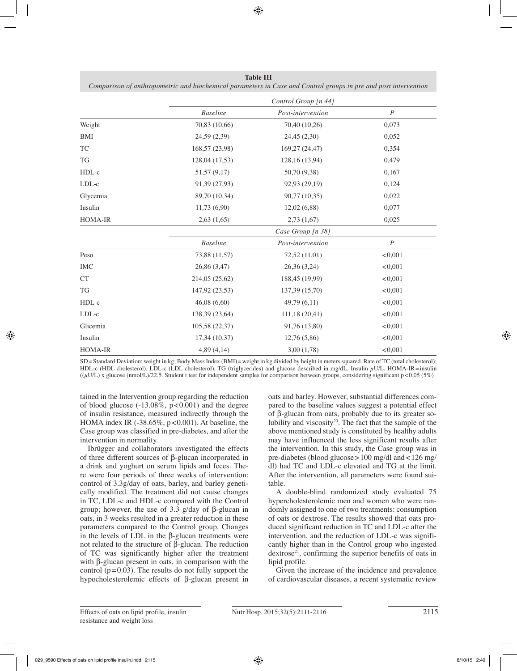|                |                 | Control Group [n 44] |                  |  |
|----------------|-----------------|----------------------|------------------|--|
|                | <b>Baseline</b> | Post-intervention    | $\boldsymbol{P}$ |  |
| Weight         | 70,83 (10,66)   | 70,40 (10,26)        | 0,073            |  |
| <b>BMI</b>     | 24,59 (2,39)    | 24,45 (2,30)         | 0,052            |  |
| TC             | 168,57 (23,98)  | 169,27 (24,47)       | 0,354            |  |
| <b>TG</b>      | 128,04 (17,53)  | 128,16 (13,94)       | 0,479            |  |
| HDL-c          | 51,57 (9,17)    | 50,70 (9,38)         | 0,167            |  |
| $LDL-c$        | 91,39 (27,93)   | 92,93 (29,19)        | 0,124            |  |
| Glycemia       | 89,70 (10,34)   | 90,77 (10,35)        | 0,022            |  |
| Insulin        | 11,73(6,90)     | 12,02(6,88)          | 0,077            |  |
| HOMA-IR        | 2,63(1,65)      | 2,73(1,67)           | 0,025            |  |
|                |                 | Case Group [n 38]    |                  |  |
|                | <b>Baseline</b> | Post-intervention    | $\overline{P}$   |  |
| Peso           | 73,88 (11,57)   | 72,52 (11,01)        | < 0.001          |  |
| <b>IMC</b>     | 26,86 (3,47)    | 26,36 (3,24)         | < 0,001          |  |
| <b>CT</b>      | 214,05 (25,62)  | 188,45 (19,99)       | < 0,001          |  |
| <b>TG</b>      | 147,92 (23,53)  | 137,39 (15,70)       | < 0,001          |  |
| HDL-c          | 46,08(6,60)     | 49,79 (6,11)         | < 0,001          |  |
| LDL-c          | 138,39 (23,64)  | 111,18 (20,41)       | < 0.001          |  |
| Glicemia       | 105,58 (22,37)  | 91,76 (13,80)        | < 0.001          |  |
| Insulin        | 17,34(10,37)    | 12,76(5,86)          | < 0,001          |  |
| <b>HOMA-IR</b> | 4,89(4,14)      | 3,00(1,78)           | < 0.001          |  |

**Table III** *Comparison of anthropometric and biochemical parameters in Case and Control groups in pre and post intervention*

SD=Standard Deviation; weight in kg; Body Mass Index (BMI)=weight in kg divided by height in meters squared. Rate of TC (total cholesterol); HDL-c (HDL cholesterol), LDL-c (LDL cholesterol), TG (triglycerides) and glucose described in mg/dL. Insulin μU/L. HOMA-IR=insulin  $((\mu U/L) x)$  glucose (nmol/L)/22.5. Student t test for independent samples for comparison between groups, considering significant p<0.05 (5%)

tained in the Intervention group regarding the reduction of blood glucose  $(-13.08\%, p<0.001)$  and the degree of insulin resistance, measured indirectly through the HOMA index IR  $(-38.65\%, p<0.001)$ . At baseline, the Case group was classified in pre-diabetes, and after the intervention in normality.

Ibrügger and collaborators investigated the effects of three different sources of β-glucan incorporated in a drink and yoghurt on serum lipids and feces. There were four periods of three weeks of intervention: control of 3.3g/day of oats, barley, and barley genetically modified. The treatment did not cause changes in TC, LDL-c and HDL-c compared with the Control group; however, the use of 3.3 g/day of β-glucan in oats, in 3 weeks resulted in a greater reduction in these parameters compared to the Control group. Changes in the levels of LDL in the β-glucan treatments were not related to the structure of β-glucan. The reduction of TC was significantly higher after the treatment with β-glucan present in oats, in comparison with the control ( $p=0.03$ ). The results do not fully support the hypocholesterolemic effects of β-glucan present in oats and barley. However, substantial differences compared to the baseline values suggest a potential effect of β-glucan from oats, probably due to its greater solubility and viscosity20. The fact that the sample of the above mentioned study is constituted by healthy adults may have influenced the less significant results after the intervention. In this study, the Case group was in pre-diabetes (blood glucose>100 mg/dl and<126 mg/ dl) had TC and LDL-c elevated and TG at the limit. After the intervention, all parameters were found suitable.

A double-blind randomized study evaluated 75 hypercholesterolemic men and women who were randomly assigned to one of two treatments: consumption of oats or dextrose. The results showed that oats produced significant reduction in TC and LDL-c after the intervention, and the reduction of LDL-c was significantly higher than in the Control group who ingested  $d$ extrose<sup>21</sup>, confirming the superior benefits of oats in lipid profile.

Given the increase of the incidence and prevalence of cardiovascular diseases, a recent systematic review